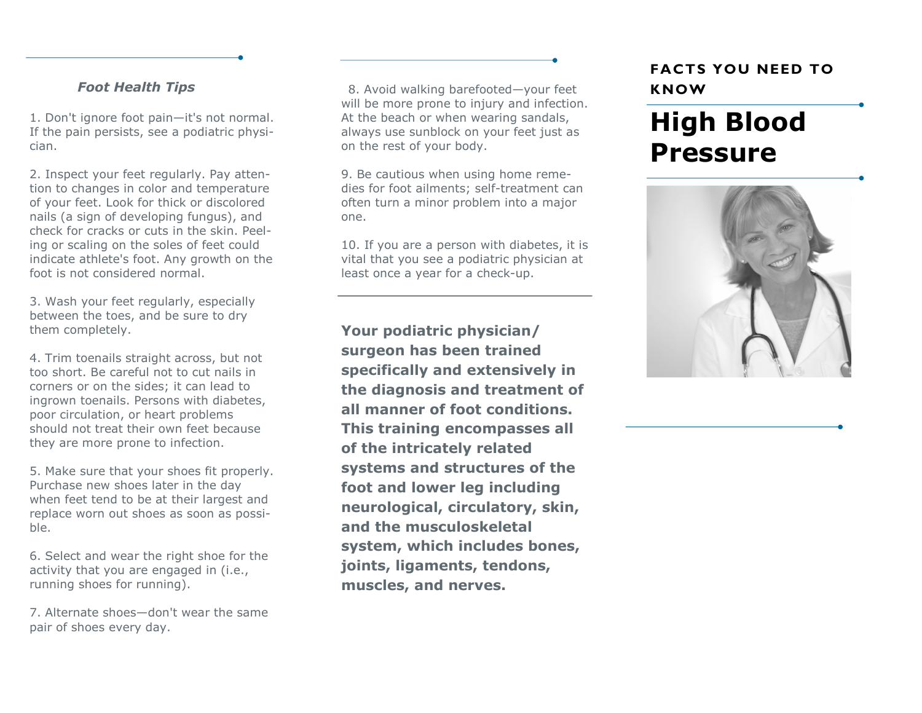### *Foot Health Tips*

1. Don't ignore foot pain—it's not normal. If the pain persists, see a podiatric physician.

2. Inspect your feet regularly. Pay attention to changes in color and temperature of your feet. Look for thick or discolored nails (a sign of developing fungus), and check for cracks or cuts in the skin. Peeling or scaling on the soles of feet could indicate athlete's foot. Any growth on the foot is not considered normal.

3. Wash your feet regularly, especially between the toes, and be sure to dry them completely.

4. Trim toenails straight across, but not too short. Be careful not to cut nails in corners or on the sides; it can lead to ingrown toenails. Persons with diabetes, poor circulation, or heart problems should not treat their own feet because they are more prone to infection.

5. Make sure that your shoes fit properly. Purchase new shoes later in the day when feet tend to be at their largest and replace worn out shoes as soon as possible.

6. Select and wear the right shoe for the activity that you are engaged in (i.e., running shoes for running).

7. Alternate shoes—don't wear the same pair of shoes every day.

8. Avoid walking barefooted—your feet will be more prone to injury and infection. At the beach or when wearing sandals, always use sunblock on your feet just as on the rest of your body.

9. Be cautious when using home remedies for foot ailments; self-treatment can often turn a minor problem into a major one.

10. If you are a person with diabetes, it is vital that you see a podiatric physician at least once a year for a check-up.

**Your podiatric physician/ surgeon has been trained specifically and extensively in the diagnosis and treatment of all manner of foot conditions. This training encompasses all of the intricately related systems and structures of the foot and lower leg including neurological, circulatory, skin, and the musculoskeletal system, which includes bones, joints, ligaments, tendons, muscles, and nerves.** 

# **FACTS YOU NEED TO KNOW**

# **High Blood Pressure**